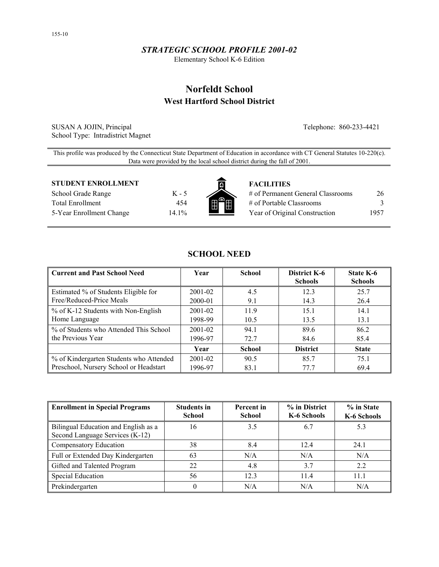# *STRATEGIC SCHOOL PROFILE 2001-02*

Elementary School K-6 Edition

# **Norfeldt School West Hartford School District**

SUSAN A JOJIN, Principal Telephone: 860-233-4421 School Type: Intradistrict Magnet

This profile was produced by the Connecticut State Department of Education in accordance with CT General Statutes 10-220(c). Data were provided by the local school district during the fall of 2001.

## **STUDENT ENROLLMENT FACILITIES**

School Grade Range K - 5 Total Enrollment 454 5-Year Enrollment Change 14.1%



| # of Permanent General Classrooms | 26   |
|-----------------------------------|------|
| # of Portable Classrooms          |      |
| Year of Original Construction     | 1957 |

| Current and Past School Need            | Year        | <b>School</b> | District K-6<br><b>Schools</b> | State K-6<br><b>Schools</b> |
|-----------------------------------------|-------------|---------------|--------------------------------|-----------------------------|
| Estimated % of Students Eligible for    | 2001-02     | 4.5           | 12.3                           | 25.7                        |
| Free/Reduced-Price Meals                | 2000-01     | 9.1           | 14.3                           | 26.4                        |
| ■ % of K-12 Students with Non-English   | $2001 - 02$ | 11.9          | 15.1                           | 14.1                        |
| Home Language                           | 1998-99     | 10.5          | 13.5                           | 13.1                        |
| % of Students who Attended This School  | $2001 - 02$ | 94.1          | 89.6                           | 86.2                        |
| the Previous Year                       | 1996-97     | 72.7          | 84.6                           | 85.4                        |
|                                         | Year        | <b>School</b> | <b>District</b>                | <b>State</b>                |
| % of Kindergarten Students who Attended | $2001 - 02$ | 90.5          | 85.7                           | 75.1                        |
| Preschool, Nursery School or Headstart  | 1996-97     | 83.1          | 77.7                           | 69.4                        |

**SCHOOL NEED** 

| <b>Enrollment in Special Programs</b>                                   | <b>Students in</b><br><b>School</b> | Percent in<br><b>School</b> | % in District<br>K-6 Schools | % in State<br>K-6 Schools |
|-------------------------------------------------------------------------|-------------------------------------|-----------------------------|------------------------------|---------------------------|
| Bilingual Education and English as a<br>Second Language Services (K-12) | 16                                  | 3.5                         | 6.7                          | 5.3                       |
| Compensatory Education                                                  | 38                                  | 8.4                         | 12.4                         | 24.1                      |
| Full or Extended Day Kindergarten                                       | 63                                  | N/A                         | N/A                          | N/A                       |
| Gifted and Talented Program                                             | 22                                  | 4.8                         | 3.7                          | 2.2                       |
| <b>Special Education</b>                                                | 56                                  | 12.3                        | 11.4                         | 11.1                      |
| Prekindergarten                                                         |                                     | N/A                         | N/A                          | N/A                       |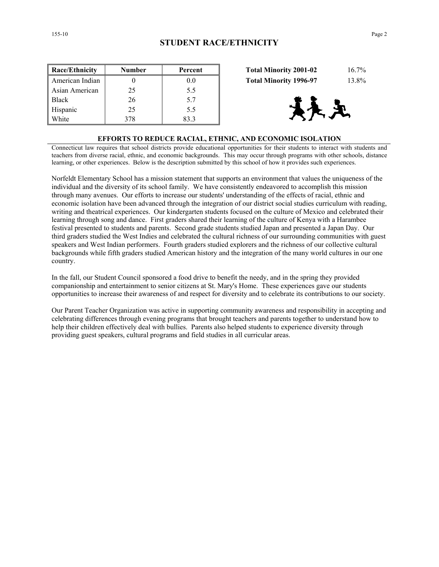White 1 378 83.3



#### **EFFORTS TO REDUCE RACIAL, ETHNIC, AND ECONOMIC ISOLATION**

Connecticut law requires that school districts provide educational opportunities for their students to interact with students and teachers from diverse racial, ethnic, and economic backgrounds. This may occur through programs with other schools, distance learning, or other experiences. Below is the description submitted by this school of how it provides such experiences.

Norfeldt Elementary School has a mission statement that supports an environment that values the uniqueness of the individual and the diversity of its school family. We have consistently endeavored to accomplish this mission through many avenues. Our efforts to increase our students' understanding of the effects of racial, ethnic and economic isolation have been advanced through the integration of our district social studies curriculum with reading, writing and theatrical experiences. Our kindergarten students focused on the culture of Mexico and celebrated their learning through song and dance. First graders shared their learning of the culture of Kenya with a Harambee festival presented to students and parents. Second grade students studied Japan and presented a Japan Day. Our third graders studied the West Indies and celebrated the cultural richness of our surrounding communities with guest speakers and West Indian performers. Fourth graders studied explorers and the richness of our collective cultural backgrounds while fifth graders studied American history and the integration of the many world cultures in our one country.

In the fall, our Student Council sponsored a food drive to benefit the needy, and in the spring they provided companionship and entertainment to senior citizens at St. Mary's Home. These experiences gave our students opportunities to increase their awareness of and respect for diversity and to celebrate its contributions to our society.

Our Parent Teacher Organization was active in supporting community awareness and responsibility in accepting and celebrating differences through evening programs that brought teachers and parents together to understand how to help their children effectively deal with bullies. Parents also helped students to experience diversity through providing guest speakers, cultural programs and field studies in all curricular areas.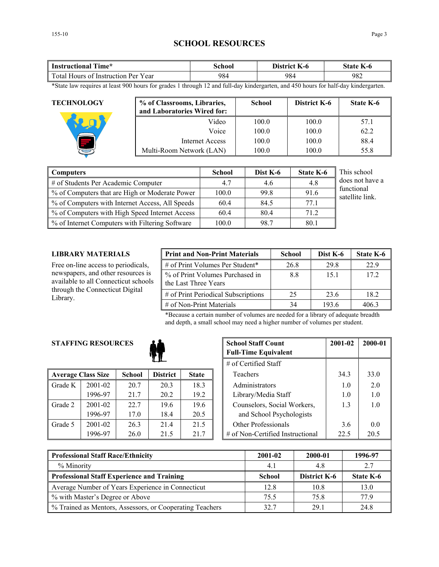# **SCHOOL RESOURCES**

| <b>Instructional Time*</b>          | School | District K-6 | State K-6 |
|-------------------------------------|--------|--------------|-----------|
| Total Hours of Instruction Per Year | 984    | 984          | 982       |

\*State law requires at least 900 hours for grades 1 through 12 and full-day kindergarten, and 450 hours for half-day kindergarten.

| <b>TECHNOLOGY</b> | % of Classrooms, Libraries,<br>and Laboratories Wired for: | <b>School</b> | <b>District K-6</b> | <b>State K-6</b> |
|-------------------|------------------------------------------------------------|---------------|---------------------|------------------|
|                   | Video                                                      | 100.0         | 100.0               | 57.1             |
|                   | Voice                                                      | 100.0         | 100.0               | 62.2             |
|                   | Internet Access                                            | 100.0         | 100.0               | 88.4             |
|                   | Multi-Room Network (LAN)                                   | 100.0         | 100.0               | 55.8             |

| Computers                                       | <b>School</b> | Dist K-6 | <b>State K-6</b> | This school                   |
|-------------------------------------------------|---------------|----------|------------------|-------------------------------|
| # of Students Per Academic Computer             | 4.7           | 4.6      | 4.8              | does not have a               |
| % of Computers that are High or Moderate Power  | 100.0         | 99.8     | 91.6             | functional<br>satellite link. |
| % of Computers with Internet Access, All Speeds | 60.4          | 84.5     | 77.1             |                               |
| % of Computers with High Speed Internet Access  | 60.4          | 80.4     | 71.2             |                               |
| % of Internet Computers with Filtering Software | 100.0         | 98.7     | 80.1             |                               |

# **LIBRARY MATERIALS**

Free on-line access to periodicals, newspapers, and other resources is available to all Connecticut schools through the Connecticut Digital Library.

| <b>Print and Non-Print Materials</b>                    | <b>School</b> | Dist K-6 | State K-6 |
|---------------------------------------------------------|---------------|----------|-----------|
| # of Print Volumes Per Student*                         | 26.8          | 29.8     | 22.9      |
| % of Print Volumes Purchased in<br>the Last Three Years | 88            | 15.1     | 17.2      |
| # of Print Periodical Subscriptions                     | 25            | 23.6     | 18.2      |
| $\#$ of Non-Print Materials                             | 34            | 193.6    | 4063      |

\*Because a certain number of volumes are needed for a library of adequate breadth and depth, a small school may need a higher number of volumes per student.

# **STAFFING RESOURCES**



|         | <b>Average Class Size</b> | <b>School</b> | <b>District</b> | <b>State</b> |
|---------|---------------------------|---------------|-----------------|--------------|
| Grade K | $2001 - 02$               | 20.7          | 20.3            | 18.3         |
|         | 1996-97                   | 21.7          | 20.2            | 19.2         |
| Grade 2 | 2001-02                   | 22.7          | 19.6            | 19.6         |
|         | 1996-97                   | 17.0          | 18.4            | 20.5         |
| Grade 5 | 2001-02                   | 26.3          | 21.4            | 21.5         |
|         | 1996-97                   | 26.0          | 21.5            | 21.7         |

| <b>RESOURCES</b> |               |                 |              |                             | <b>School Staff Count</b><br><b>Full-Time Equivalent</b> | 2001-02 | 2000-01 |
|------------------|---------------|-----------------|--------------|-----------------------------|----------------------------------------------------------|---------|---------|
|                  |               |                 |              |                             | $#$ of Certified Staff                                   |         |         |
| ass Size         | <b>School</b> | <b>District</b> | <b>State</b> |                             | Teachers                                                 | 34.3    | 33.0    |
| 2001-02          | 20.7          | 20.3            | 18.3         |                             | Administrators                                           | 1.0     | 2.0     |
| 1996-97          | 21.7          | 20.2            | 19.2         | Library/Media Staff         |                                                          | 1.0     | 1.0     |
| 2001-02          | 22.7          | 19.6            | 19.6         | Counselors, Social Workers, |                                                          | 1.3     | 1.0     |
| 1996-97          | 17.0          | 18.4            | 20.5         | and School Psychologists    |                                                          |         |         |
| 2001-02          | 26.3          | 21.4            | 21.5         | <b>Other Professionals</b>  |                                                          | 3.6     | 0.0     |
| 1996-97          | 26.0          | 21.5            | 21.7         |                             | $\#$ of Non-Certified Instructional                      | 22.5    | 20.5    |

| <b>Professional Staff Race/Ethnicity</b>                 | 2001-02       | 2000-01      | 1996-97   |
|----------------------------------------------------------|---------------|--------------|-----------|
| % Minority                                               | 4.1           | 4.8          | 2.7       |
| <b>Professional Staff Experience and Training</b>        | <b>School</b> | District K-6 | State K-6 |
| Average Number of Years Experience in Connecticut        | 12.8          | 10.8         | 13.0      |
| % with Master's Degree or Above                          | 75.5          | 75.8         | 77 9      |
| % Trained as Mentors, Assessors, or Cooperating Teachers | 32.7          | 29.1         | 24.8      |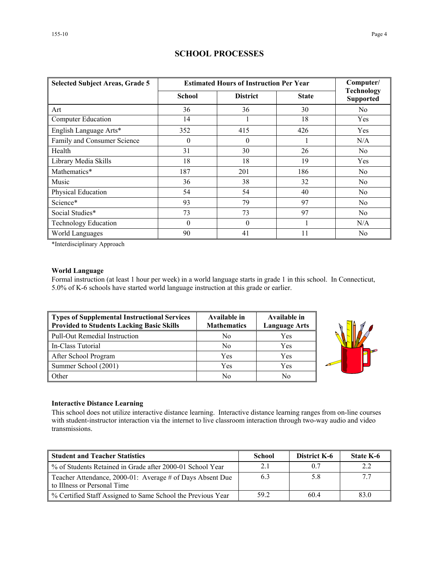| <b>Selected Subject Areas, Grade 5</b> |          | <b>Estimated Hours of Instruction Per Year</b> | Computer/    |                                       |
|----------------------------------------|----------|------------------------------------------------|--------------|---------------------------------------|
|                                        | School   | <b>District</b>                                | <b>State</b> | <b>Technology</b><br><b>Supported</b> |
| Art                                    | 36       | 36                                             | 30           | N <sub>0</sub>                        |
| Computer Education                     | 14       |                                                | 18           | Yes                                   |
| English Language Arts*                 | 352      | 415                                            | 426          | <b>Yes</b>                            |
| Family and Consumer Science            | $\theta$ | $\theta$                                       |              | N/A                                   |
| Health                                 | 31       | 30                                             | 26           | N <sub>0</sub>                        |
| Library Media Skills                   | 18       | 18                                             | 19           | Yes                                   |
| Mathematics*                           | 187      | 201                                            | 186          | N <sub>o</sub>                        |
| Music                                  | 36       | 38                                             | 32           | N <sub>0</sub>                        |
| Physical Education                     | 54       | 54                                             | 40           | N <sub>0</sub>                        |
| Science*                               | 93       | 79                                             | 97           | N <sub>o</sub>                        |
| Social Studies*                        | 73       | 73                                             | 97           | N <sub>o</sub>                        |
| <b>Technology Education</b>            | $\theta$ | $\theta$                                       |              | N/A                                   |
| World Languages                        | 90       | 41                                             | 11           | N <sub>0</sub>                        |

# **SCHOOL PROCESSES**

\*Interdisciplinary Approach

## **World Language**

Formal instruction (at least 1 hour per week) in a world language starts in grade 1 in this school. In Connecticut, 5.0% of K-6 schools have started world language instruction at this grade or earlier.

| Types of Supplemental Instructional Services<br>Provided to Students Lacking Basic Skills | Available in<br><b>Mathematics</b> | Available in<br><b>Language Arts</b> |
|-------------------------------------------------------------------------------------------|------------------------------------|--------------------------------------|
| Pull-Out Remedial Instruction                                                             | No                                 | Yes                                  |
| In-Class Tutorial                                                                         | N <sub>0</sub>                     | Yes                                  |
| After School Program                                                                      | Yes                                | Yes                                  |
| Summer School (2001)                                                                      | Yes                                | Yes                                  |
| <b>Other</b>                                                                              | No                                 | No                                   |



## **Interactive Distance Learning**

This school does not utilize interactive distance learning. Interactive distance learning ranges from on-line courses with student-instructor interaction via the internet to live classroom interaction through two-way audio and video transmissions.

| Student and Teacher Statistics                                                           | School | <b>District K-6</b> | <b>State K-6</b> |  |
|------------------------------------------------------------------------------------------|--------|---------------------|------------------|--|
| Ⅰ % of Students Retained in Grade after 2000-01 School Year                              | 2.1    | 0.7                 |                  |  |
| Teacher Attendance, 2000-01: Average # of Days Absent Due<br>to Illness or Personal Time | 6.3    | 5.8                 |                  |  |
| ↓ % Certified Staff Assigned to Same School the Previous Year                            | 59.2   | 60.4                | 83.0             |  |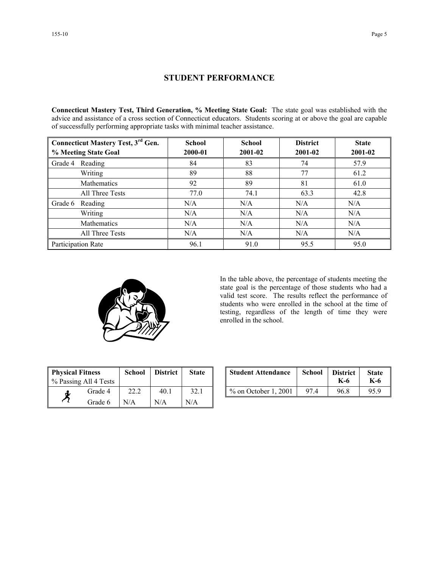# **STUDENT PERFORMANCE**

**Connecticut Mastery Test, Third Generation, % Meeting State Goal:** The state goal was established with the advice and assistance of a cross section of Connecticut educators. Students scoring at or above the goal are capable of successfully performing appropriate tasks with minimal teacher assistance.

| <b>Connecticut Mastery Test, 3rd Gen.</b> | <b>School</b> | <b>School</b> | <b>District</b> | <b>State</b> |  |
|-------------------------------------------|---------------|---------------|-----------------|--------------|--|
| % Meeting State Goal                      | 2000-01       | 2001-02       | 2001-02         | 2001-02      |  |
| Reading<br>Grade 4                        | 84            | 83            | 74              | 57.9         |  |
| Writing                                   | 89            | 88            | 77              | 61.2         |  |
| Mathematics                               | 92            | 89            | 81              | 61.0         |  |
| All Three Tests                           | 77.0          | 74.1          | 63.3            | 42.8         |  |
| Grade 6<br>Reading                        | N/A           | N/A           | N/A             | N/A          |  |
| Writing                                   | N/A           | N/A           | N/A             | N/A          |  |
| Mathematics                               | N/A           | N/A           | N/A             | N/A          |  |
| All Three Tests                           | N/A           | N/A           | N/A             | N/A          |  |
| Participation Rate                        | 96.1          | 91.0          | 95.5            | 95.0         |  |



In the table above, the percentage of students meeting the state goal is the percentage of those students who had a valid test score. The results reflect the performance of students who were enrolled in the school at the time of testing, regardless of the length of time they were enrolled in the school.

| <b>Physical Fitness</b><br>% Passing All 4 Tests |         | <b>District</b><br><b>School</b> |      | <b>State</b> |  |
|--------------------------------------------------|---------|----------------------------------|------|--------------|--|
| đ.                                               | Grade 4 | 22.2                             | 40.1 | 32.1         |  |
|                                                  | Grade 6 | N/A                              | N/A  | N/A          |  |

| ness<br>ll 4 Tests | School | <b>District</b> | <b>State</b> | <b>Student Attendance</b> | School           | <b>District</b><br>K-6 | <b>State</b><br>K-6 |
|--------------------|--------|-----------------|--------------|---------------------------|------------------|------------------------|---------------------|
| Grade 4            | 22.2   | 40.1            | 32.1         | $\%$ on October 1, 2001   | $97\,\mathrm{A}$ | 96.8                   | 95.9                |